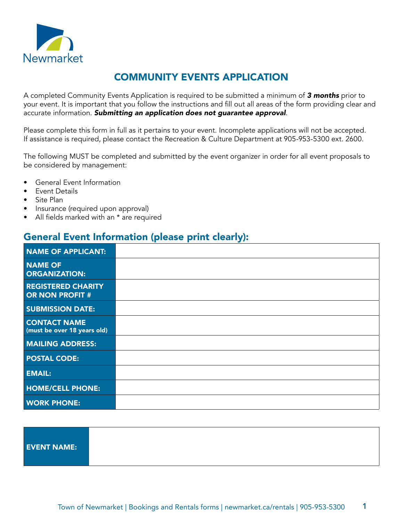

# COMMUNITY EVENTS APPLICATION

A completed Community Events Application is required to be submitted a minimum of *3 months* prior to your event. It is important that you follow the instructions and fill out all areas of the form providing clear and accurate information. *Submitting an application does not guarantee approval*.

Please complete this form in full as it pertains to your event. Incomplete applications will not be accepted. If assistance is required, please contact the Recreation & Culture Department at 905-953-5300 ext. 2600.

The following MUST be completed and submitted by the event organizer in order for all event proposals to be considered by management:

- General Event Information
- Event Details
- Site Plan
- Insurance (required upon approval)
- All fields marked with an \* are required

# General Event Information (please print clearly):

| <b>NAME OF APPLICANT:</b>                           |  |
|-----------------------------------------------------|--|
| <b>NAME OF</b><br><b>ORGANIZATION:</b>              |  |
| <b>REGISTERED CHARITY</b><br><b>OR NON PROFIT #</b> |  |
| <b>SUBMISSION DATE:</b>                             |  |
| <b>CONTACT NAME</b><br>(must be over 18 years old)  |  |
| <b>MAILING ADDRESS:</b>                             |  |
| <b>POSTAL CODE:</b>                                 |  |
| <b>EMAIL:</b>                                       |  |
| <b>HOME/CELL PHONE:</b>                             |  |
| <b>WORK PHONE:</b>                                  |  |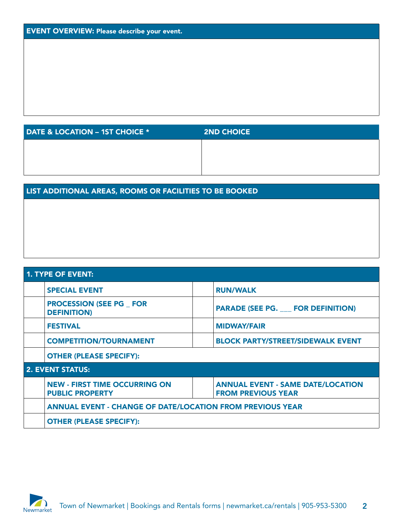| DATE & LOCATION - 1ST CHOICE * | <b>2ND CHOICE</b> |
|--------------------------------|-------------------|
|                                |                   |
|                                |                   |
|                                |                   |

## LIST ADDITIONAL AREAS, ROOMS OR FACILITIES TO BE BOOKED

| <b>1. TYPE OF EVENT:</b> |                                                                           |                                                                       |  |  |  |  |  |
|--------------------------|---------------------------------------------------------------------------|-----------------------------------------------------------------------|--|--|--|--|--|
|                          | <b>SPECIAL EVENT</b>                                                      | <b>RUN/WALK</b>                                                       |  |  |  |  |  |
|                          | <b>PROCESSION (SEE PG FOR</b><br><b>DEFINITION)</b>                       | <b>PARADE (SEE PG. FOR DEFINITION)</b>                                |  |  |  |  |  |
|                          | <b>FESTIVAL</b>                                                           | <b>MIDWAY/FAIR</b>                                                    |  |  |  |  |  |
|                          | <b>COMPETITION/TOURNAMENT</b><br><b>BLOCK PARTY/STREET/SIDEWALK EVENT</b> |                                                                       |  |  |  |  |  |
|                          | <b>OTHER (PLEASE SPECIFY):</b>                                            |                                                                       |  |  |  |  |  |
|                          | <b>2. EVENT STATUS:</b>                                                   |                                                                       |  |  |  |  |  |
|                          | <b>NEW - FIRST TIME OCCURRING ON</b><br><b>PUBLIC PROPERTY</b>            | <b>ANNUAL EVENT - SAME DATE/LOCATION</b><br><b>FROM PREVIOUS YEAR</b> |  |  |  |  |  |
|                          | <b>ANNUAL EVENT - CHANGE OF DATE/LOCATION FROM PREVIOUS YEAR</b>          |                                                                       |  |  |  |  |  |
|                          | <b>OTHER (PLEASE SPECIFY):</b>                                            |                                                                       |  |  |  |  |  |

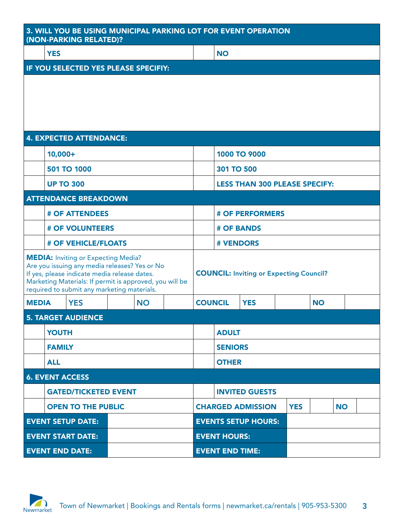| 3. WILL YOU BE USING MUNICIPAL PARKING LOT FOR EVENT OPERATION<br>(NON-PARKING RELATED)?                                                                                                                                                              |                                                 |                                      |                                                |              |                       |                          |                        |                                      |           |           |  |  |  |
|-------------------------------------------------------------------------------------------------------------------------------------------------------------------------------------------------------------------------------------------------------|-------------------------------------------------|--------------------------------------|------------------------------------------------|--------------|-----------------------|--------------------------|------------------------|--------------------------------------|-----------|-----------|--|--|--|
|                                                                                                                                                                                                                                                       | <b>YES</b>                                      |                                      |                                                |              |                       |                          | <b>NO</b>              |                                      |           |           |  |  |  |
|                                                                                                                                                                                                                                                       |                                                 | IF YOU SELECTED YES PLEASE SPECIFIY: |                                                |              |                       |                          |                        |                                      |           |           |  |  |  |
|                                                                                                                                                                                                                                                       |                                                 |                                      |                                                |              |                       |                          |                        |                                      |           |           |  |  |  |
|                                                                                                                                                                                                                                                       |                                                 | <b>4. EXPECTED ATTENDANCE:</b>       |                                                |              |                       |                          |                        |                                      |           |           |  |  |  |
|                                                                                                                                                                                                                                                       | $10,000+$                                       |                                      |                                                |              |                       |                          |                        | 1000 TO 9000                         |           |           |  |  |  |
|                                                                                                                                                                                                                                                       |                                                 | 501 TO 1000                          |                                                |              |                       |                          | 301 TO 500             |                                      |           |           |  |  |  |
|                                                                                                                                                                                                                                                       |                                                 | <b>UP TO 300</b>                     |                                                |              |                       |                          |                        | <b>LESS THAN 300 PLEASE SPECIFY:</b> |           |           |  |  |  |
|                                                                                                                                                                                                                                                       |                                                 | <b>ATTENDANCE BREAKDOWN</b>          |                                                |              |                       |                          |                        |                                      |           |           |  |  |  |
|                                                                                                                                                                                                                                                       |                                                 | <b># OF ATTENDEES</b>                |                                                |              |                       |                          | <b># OF PERFORMERS</b> |                                      |           |           |  |  |  |
|                                                                                                                                                                                                                                                       |                                                 | <b># OF VOLUNTEERS</b>               |                                                |              |                       |                          | <b># OF BANDS</b>      |                                      |           |           |  |  |  |
|                                                                                                                                                                                                                                                       |                                                 | <b># OF VEHICLE/FLOATS</b>           |                                                |              |                       |                          | <b># VENDORS</b>       |                                      |           |           |  |  |  |
| <b>MEDIA:</b> Inviting or Expecting Media?<br>Are you issuing any media releases? Yes or No<br>If yes, please indicate media release dates.<br>Marketing Materials: If permit is approved, you will be<br>required to submit any marketing materials. |                                                 |                                      | <b>COUNCIL: Inviting or Expecting Council?</b> |              |                       |                          |                        |                                      |           |           |  |  |  |
| <b>MEDIA</b>                                                                                                                                                                                                                                          |                                                 | <b>YES</b>                           |                                                | <b>NO</b>    |                       | <b>COUNCIL</b>           |                        | <b>YES</b>                           |           | <b>NO</b> |  |  |  |
|                                                                                                                                                                                                                                                       |                                                 | <b>5. TARGET AUDIENCE</b>            |                                                |              |                       |                          |                        |                                      |           |           |  |  |  |
|                                                                                                                                                                                                                                                       | <b>YOUTH</b>                                    |                                      |                                                |              |                       |                          | <b>ADULT</b>           |                                      |           |           |  |  |  |
|                                                                                                                                                                                                                                                       | <b>FAMILY</b>                                   |                                      |                                                |              |                       |                          | <b>SENIORS</b>         |                                      |           |           |  |  |  |
| <b>ALL</b>                                                                                                                                                                                                                                            |                                                 |                                      |                                                | <b>OTHER</b> |                       |                          |                        |                                      |           |           |  |  |  |
| <b>6. EVENT ACCESS</b>                                                                                                                                                                                                                                |                                                 |                                      |                                                |              |                       |                          |                        |                                      |           |           |  |  |  |
|                                                                                                                                                                                                                                                       | <b>GATED/TICKETED EVENT</b>                     |                                      |                                                |              | <b>INVITED GUESTS</b> |                          |                        |                                      |           |           |  |  |  |
| <b>OPEN TO THE PUBLIC</b>                                                                                                                                                                                                                             |                                                 |                                      |                                                |              |                       | <b>CHARGED ADMISSION</b> | <b>YES</b>             |                                      | <b>NO</b> |           |  |  |  |
|                                                                                                                                                                                                                                                       |                                                 | <b>EVENT SETUP DATE:</b>             |                                                |              |                       |                          |                        | <b>EVENTS SETUP HOURS:</b>           |           |           |  |  |  |
|                                                                                                                                                                                                                                                       | <b>EVENT HOURS:</b><br><b>EVENT START DATE:</b> |                                      |                                                |              |                       |                          |                        |                                      |           |           |  |  |  |
| <b>EVENT END DATE:</b>                                                                                                                                                                                                                                |                                                 |                                      | <b>EVENT END TIME:</b>                         |              |                       |                          |                        |                                      |           |           |  |  |  |

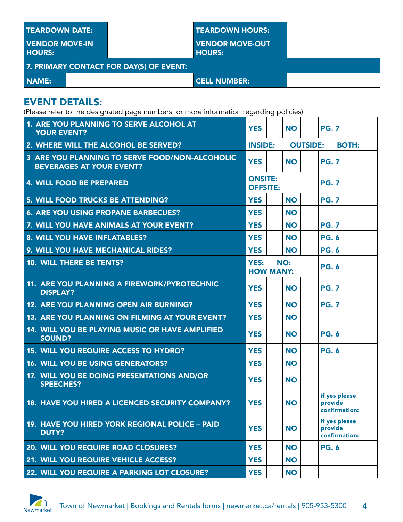| I TEARDOWN DATE:                  |                                         | <b>TEARDOWN HOURS:</b>                  |  |
|-----------------------------------|-----------------------------------------|-----------------------------------------|--|
| I VENDOR MOVE-IN<br><b>HOURS:</b> |                                         | <b>VENDOR MOVE-OUT</b><br><b>HOURS:</b> |  |
|                                   | 7. PRIMARY CONTACT FOR DAY(S) OF EVENT: |                                         |  |
| I NAME:                           |                                         | <b>CELL NUMBER:</b>                     |  |

# EVENT DETAILS:

(Please refer to the designated page numbers for more information regarding policies)

| 1. ARE YOU PLANNING TO SERVE ALCOHOL AT<br><b>YOUR EVENT?</b>                     | <b>YES</b>                        | <b>NO</b> | <b>PG. 7</b>                              |
|-----------------------------------------------------------------------------------|-----------------------------------|-----------|-------------------------------------------|
| 2. WHERE WILL THE ALCOHOL BE SERVED?                                              | <b>INSIDE:</b>                    |           | <b>OUTSIDE:</b><br><b>BOTH:</b>           |
| 3 ARE YOU PLANNING TO SERVE FOOD/NON-ALCOHOLIC<br><b>BEVERAGES AT YOUR EVENT?</b> | <b>YES</b>                        | <b>NO</b> | <b>PG. 7</b>                              |
| <b>4. WILL FOOD BE PREPARED</b>                                                   | <b>ONSITE:</b><br><b>OFFSITE:</b> |           | <b>PG. 7</b>                              |
| 5. WILL FOOD TRUCKS BE ATTENDING?                                                 | <b>YES</b>                        | <b>NO</b> | <b>PG. 7</b>                              |
| <b>6. ARE YOU USING PROPANE BARBECUES?</b>                                        | <b>YES</b>                        | <b>NO</b> |                                           |
| 7. WILL YOU HAVE ANIMALS AT YOUR EVENT?                                           | <b>YES</b>                        | <b>NO</b> | <b>PG. 7</b>                              |
| 8. WILL YOU HAVE INFLATABLES?                                                     | <b>YES</b>                        | <b>NO</b> | <b>PG. 6</b>                              |
| 9. WILL YOU HAVE MECHANICAL RIDES?                                                | <b>YES</b>                        | <b>NO</b> | <b>PG. 6</b>                              |
| 10. WILL THERE BE TENTS?                                                          | <b>YES:</b><br><b>HOW MANY:</b>   | NO:       | <b>PG. 6</b>                              |
| <b>11. ARE YOU PLANNING A FIREWORK/PYROTECHNIC</b><br><b>DISPLAY?</b>             | <b>YES</b>                        | <b>NO</b> | <b>PG. 7</b>                              |
| <b>12. ARE YOU PLANNING OPEN AIR BURNING?</b>                                     | <b>YES</b>                        | <b>NO</b> | <b>PG. 7</b>                              |
| <b>13. ARE YOU PLANNING ON FILMING AT YOUR EVENT?</b>                             | <b>YES</b>                        | <b>NO</b> |                                           |
| 14. WILL YOU BE PLAYING MUSIC OR HAVE AMPLIFIED<br><b>SOUND?</b>                  | <b>YES</b>                        | <b>NO</b> | <b>PG. 6</b>                              |
| <b>15. WILL YOU REQUIRE ACCESS TO HYDRO?</b>                                      | <b>YES</b>                        | <b>NO</b> | <b>PG. 6</b>                              |
| <b>16. WILL YOU BE USING GENERATORS?</b>                                          | <b>YES</b>                        | <b>NO</b> |                                           |
| 17. WILL YOU BE DOING PRESENTATIONS AND/OR<br><b>SPEECHES?</b>                    | <b>YES</b>                        | <b>NO</b> |                                           |
| <b>18. HAVE YOU HIRED A LICENCED SECURITY COMPANY?</b>                            | <b>YES</b>                        | <b>NO</b> | if yes please<br>provide<br>confirmation: |
| 19. HAVE YOU HIRED YORK REGIONAL POLICE - PAID<br><b>DUTY?</b>                    | <b>YES</b>                        | <b>NO</b> | if yes please<br>provide<br>confirmation: |
| 20. WILL YOU REQUIRE ROAD CLOSURES?                                               | <b>YES</b>                        | <b>NO</b> | <b>PG. 6</b>                              |
| 21. WILL YOU REQUIRE VEHICLE ACCESS?                                              | <b>YES</b>                        | <b>NO</b> |                                           |
| 22. WILL YOU REQUIRE A PARKING LOT CLOSURE?                                       | <b>YES</b>                        | <b>NO</b> |                                           |

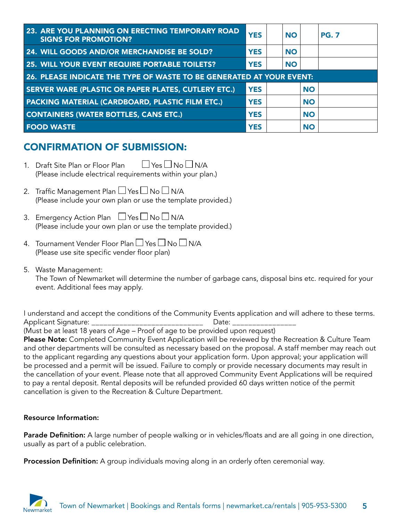| <b>23. ARE YOU PLANNING ON ERECTING TEMPORARY ROAD</b><br><b>SIGNS FOR PROMOTION?</b> | <b>YES</b> | <b>NO</b> |           | <b>PG. 7</b> |  |  |  |
|---------------------------------------------------------------------------------------|------------|-----------|-----------|--------------|--|--|--|
| 24. WILL GOODS AND/OR MERCHANDISE BE SOLD?                                            | <b>YES</b> | <b>NO</b> |           |              |  |  |  |
| 25. WILL YOUR EVENT REQUIRE PORTABLE TOILETS?                                         | <b>YES</b> | <b>NO</b> |           |              |  |  |  |
| 26. PLEASE INDICATE THE TYPE OF WASTE TO BE GENERATED AT YOUR EVENT:                  |            |           |           |              |  |  |  |
| SERVER WARE (PLASTIC OR PAPER PLATES, CUTLERY ETC.)                                   | <b>YES</b> |           | <b>NO</b> |              |  |  |  |
| <b>PACKING MATERIAL (CARDBOARD, PLASTIC FILM ETC.)</b>                                | <b>YES</b> |           | <b>NO</b> |              |  |  |  |
| <b>CONTAINERS (WATER BOTTLES, CANS ETC.)</b>                                          | <b>YES</b> |           | <b>NO</b> |              |  |  |  |
| <b>FOOD WASTE</b>                                                                     | <b>YES</b> |           | <b>NO</b> |              |  |  |  |

# CONFIRMATION OF SUBMISSION:

- 1. Draft Site Plan or Floor Plan  $\Box$  Yes  $\Box$  No  $\Box$  N/A (Please include electrical requirements within your plan.)
- 2. Traffic Management Plan  $\Box$  Yes  $\Box$  No  $\Box$  N/A (Please include your own plan or use the template provided.)
- 3. Emergency Action Plan  $\Box$  Yes  $\Box$  No  $\Box$  N/A (Please include your own plan or use the template provided.)
- 4. Tournament Vender Floor Plan  $\Box$  Yes  $\Box$  No  $\Box$  N/A (Please use site specific vender floor plan)
- 5. Waste Management: The Town of Newmarket will determine the number of garbage cans, disposal bins etc. required for your event. Additional fees may apply.

I understand and accept the conditions of the Community Events application and will adhere to these terms. Applicant Signature: \_\_\_\_\_\_\_\_\_\_\_\_\_\_\_\_\_\_\_\_\_\_\_\_\_\_\_\_\_\_\_\_\_ Date: \_\_\_\_\_\_\_\_\_\_\_\_\_\_\_\_\_\_\_ (Must be at least 18 years of Age – Proof of age to be provided upon request) Please Note: Completed Community Event Application will be reviewed by the Recreation & Culture Team and other departments will be consulted as necessary based on the proposal. A staff member may reach out to the applicant regarding any questions about your application form. Upon approval; your application will be processed and a permit will be issued. Failure to comply or provide necessary documents may result in the cancellation of your event. Please note that all approved Community Event Applications will be required to pay a rental deposit. Rental deposits will be refunded provided 60 days written notice of the permit cancellation is given to the Recreation & Culture Department.

### Resource Information:

Parade Definition: A large number of people walking or in vehicles/floats and are all going in one direction, usually as part of a public celebration.

Procession Definition: A group individuals moving along in an orderly often ceremonial way.

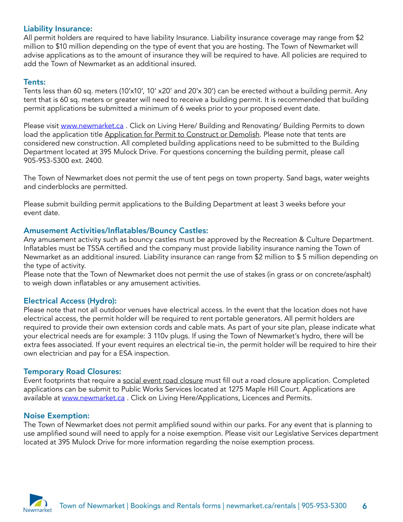## Liability Insurance:

All permit holders are required to have liability Insurance. Liability insurance coverage may range from \$2 million to \$10 million depending on the type of event that you are hosting. The Town of Newmarket will advise applications as to the amount of insurance they will be required to have. All policies are required to add the Town of Newmarket as an additional insured.

## Tents:

Tents less than 60 sq. meters (10'x10', 10' x20' and 20'x 30') can be erected without a building permit. Any tent that is 60 sq. meters or greater will need to receive a building permit. It is recommended that building permit applications be submitted a minimum of 6 weeks prior to your proposed event date.

Please visit www.newmarket.ca. Click on Living Here/ Building and Renovating/ Building Permits to down load the application title Application for Permit to Construct or Demolish. Please note that tents are considered new construction. All completed building applications need to be submitted to the Building Department located at 395 Mulock Drive. For questions concerning the building permit, please call 905-953-5300 ext. 2400.

The Town of Newmarket does not permit the use of tent pegs on town property. Sand bags, water weights and cinderblocks are permitted.

Please submit building permit applications to the Building Department at least 3 weeks before your event date.

## Amusement Activities/Inflatables/Bouncy Castles:

Any amusement activity such as bouncy castles must be approved by the Recreation & Culture Department. Inflatables must be TSSA certified and the company must provide liability insurance naming the Town of Newmarket as an additional insured. Liability insurance can range from \$2 million to \$ 5 million depending on the type of activity.

Please note that the Town of Newmarket does not permit the use of stakes (in grass or on concrete/asphalt) to weigh down inflatables or any amusement activities.

## Electrical Access (Hydro):

Please note that not all outdoor venues have electrical access. In the event that the location does not have electrical access, the permit holder will be required to rent portable generators. All permit holders are required to provide their own extension cords and cable mats. As part of your site plan, please indicate what your electrical needs are for example: 3 110v plugs. If using the Town of Newmarket's hydro, there will be extra fees associated. If your event requires an electrical tie-in, the permit holder will be required to hire their own electrician and pay for a ESA inspection.

### Temporary Road Closures:

Event footprints that require a social event road closure must fill out a road closure application. Completed applications can be submit to Public Works Services located at 1275 Maple Hill Court. Applications are available at www.newmarket.ca. Click on Living Here/Applications, Licences and Permits.

#### Noise Exemption:

The Town of Newmarket does not permit amplified sound within our parks. For any event that is planning to use amplified sound will need to apply for a noise exemption. Please visit our Legislative Services department located at 395 Mulock Drive for more information regarding the noise exemption process.

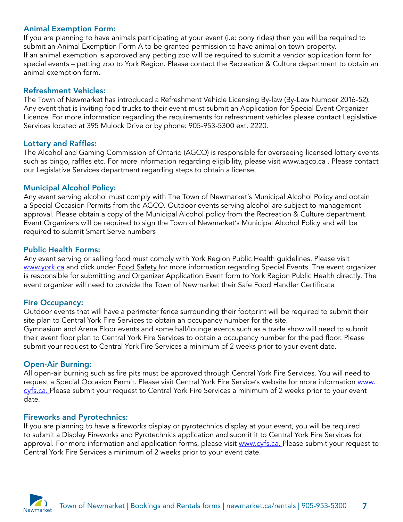## Animal Exemption Form:

If you are planning to have animals participating at your event (i.e: pony rides) then you will be required to submit an Animal Exemption Form A to be granted permission to have animal on town property. If an animal exemption is approved any petting zoo will be required to submit a vendor application form for special events – petting zoo to York Region. Please contact the Recreation & Culture department to obtain an animal exemption form.

#### Refreshment Vehicles:

The Town of Newmarket has introduced a Refreshment Vehicle Licensing By-law (By-Law Number 2016-52). Any event that is inviting food trucks to their event must submit an Application for Special Event Organizer Licence. For more information regarding the requirements for refreshment vehicles please contact Legislative Services located at 395 Mulock Drive or by phone: 905-953-5300 ext. 2220.

#### Lottery and Raffles:

The Alcohol and Gaming Commission of Ontario (AGCO) is responsible for overseeing licensed lottery events such as bingo, raffles etc. For more information regarding eligibility, please visit www.agco.ca . Please contact our Legislative Services department regarding steps to obtain a license.

#### Municipal Alcohol Policy:

Any event serving alcohol must comply with The Town of Newmarket's Municipal Alcohol Policy and obtain a Special Occasion Permits from the AGCO. Outdoor events serving alcohol are subject to management approval. Please obtain a copy of the Municipal Alcohol policy from the Recreation & Culture department. Event Organizers will be required to sign the Town of Newmarket's Municipal Alcohol Policy and will be required to submit Smart Serve numbers

#### Public Health Forms:

Any event serving or selling food must comply with York Region Public Health guidelines. Please visit [www.york.ca](http://www.york.ca) and click under **Food Safety for more information regarding Special Events.** The event organizer is responsible for submitting and Organizer Application Event form to York Region Public Health directly. The event organizer will need to provide the Town of Newmarket their Safe Food Handler Certificate

### Fire Occupancy:

Outdoor events that will have a perimeter fence surrounding their footprint will be required to submit their site plan to Central York Fire Services to obtain an occupancy number for the site. Gymnasium and Arena Floor events and some hall/lounge events such as a trade show will need to submit their event floor plan to Central York Fire Services to obtain a occupancy number for the pad floor. Please submit your request to Central York Fire Services a minimum of 2 weeks prior to your event date.

### Open-Air Burning:

All open-air burning such as fire pits must be approved through Central York Fire Services. You will need to request a Special Occasion Permit. Please visit Central York Fire Service's website for more information [www.](http://www.cyfs.ca) [cyfs.ca](http://www.cyfs.ca). Please submit your request to Central York Fire Services a minimum of 2 weeks prior to your event date.

#### Fireworks and Pyrotechnics:

If you are planning to have a fireworks display or pyrotechnics display at your event, you will be required to submit a Display Fireworks and Pyrotechnics application and submit it to Central York Fire Services for approval. For more information and application forms, please visit [www.cyfs.ca](http://www.cyfs.ca). Please submit your request to Central York Fire Services a minimum of 2 weeks prior to your event date.